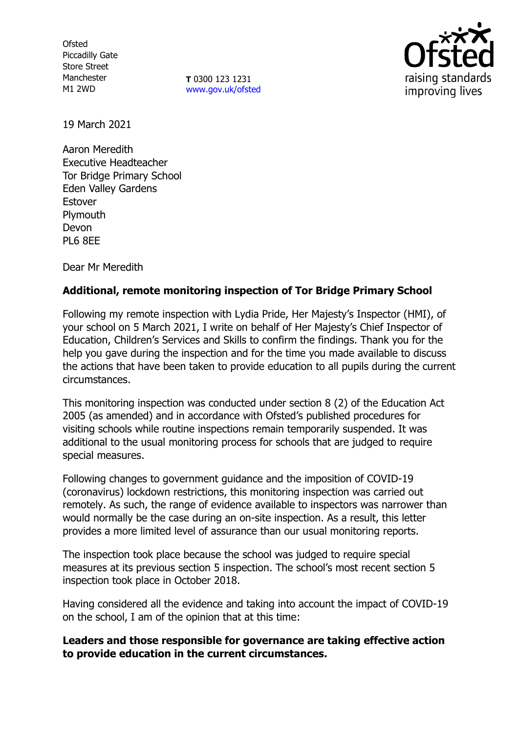**Ofsted** Piccadilly Gate Store Street Manchester M1 2WD

**T** 0300 123 1231 [www.gov.uk/ofsted](http://www.gov.uk/ofsted)



19 March 2021

Aaron Meredith Executive Headteacher Tor Bridge Primary School Eden Valley Gardens Estover **Plymouth** Devon PL6 8EE

Dear Mr Meredith

# **Additional, remote monitoring inspection of Tor Bridge Primary School**

Following my remote inspection with Lydia Pride, Her Majesty's Inspector (HMI), of your school on 5 March 2021, I write on behalf of Her Majesty's Chief Inspector of Education, Children's Services and Skills to confirm the findings. Thank you for the help you gave during the inspection and for the time you made available to discuss the actions that have been taken to provide education to all pupils during the current circumstances.

This monitoring inspection was conducted under section 8 (2) of the Education Act 2005 (as amended) and in accordance with Ofsted's published procedures for visiting schools while routine inspections remain temporarily suspended. It was additional to the usual monitoring process for schools that are judged to require special measures.

Following changes to government guidance and the imposition of COVID-19 (coronavirus) lockdown restrictions, this monitoring inspection was carried out remotely. As such, the range of evidence available to inspectors was narrower than would normally be the case during an on-site inspection. As a result, this letter provides a more limited level of assurance than our usual monitoring reports.

The inspection took place because the school was judged to require special measures at its previous section 5 inspection. The school's most recent section 5 inspection took place in October 2018.

Having considered all the evidence and taking into account the impact of COVID-19 on the school, I am of the opinion that at this time:

# **Leaders and those responsible for governance are taking effective action to provide education in the current circumstances.**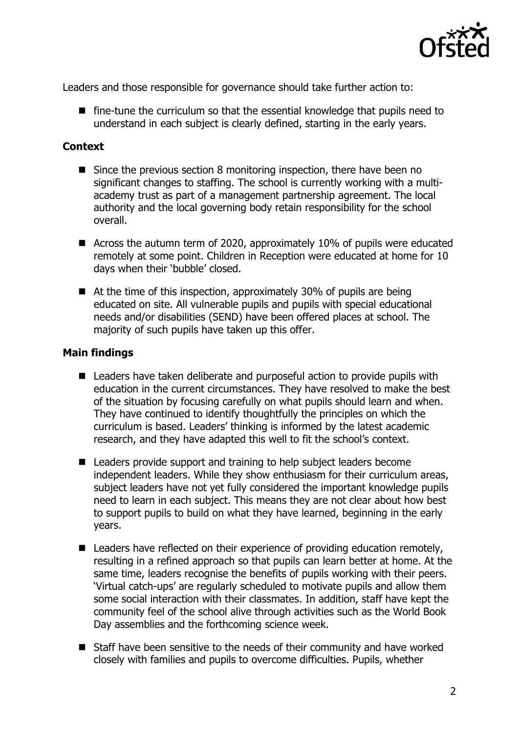

Leaders and those responsible for governance should take further action to:

■ fine-tune the curriculum so that the essential knowledge that pupils need to understand in each subject is clearly defined, starting in the early years.

### **Context**

- Since the previous section 8 monitoring inspection, there have been no significant changes to staffing. The school is currently working with a multiacademy trust as part of a management partnership agreement. The local authority and the local governing body retain responsibility for the school overall.
- Across the autumn term of 2020, approximately 10% of pupils were educated remotely at some point. Children in Reception were educated at home for 10 days when their 'bubble' closed.
- At the time of this inspection, approximately 30% of pupils are being educated on site. All vulnerable pupils and pupils with special educational needs and/or disabilities (SEND) have been offered places at school. The majority of such pupils have taken up this offer.

#### **Main findings**

- Leaders have taken deliberate and purposeful action to provide pupils with education in the current circumstances. They have resolved to make the best of the situation by focusing carefully on what pupils should learn and when. They have continued to identify thoughtfully the principles on which the curriculum is based. Leaders' thinking is informed by the latest academic research, and they have adapted this well to fit the school's context.
- Leaders provide support and training to help subject leaders become independent leaders. While they show enthusiasm for their curriculum areas, subject leaders have not yet fully considered the important knowledge pupils need to learn in each subject. This means they are not clear about how best to support pupils to build on what they have learned, beginning in the early years.
- Leaders have reflected on their experience of providing education remotely, resulting in a refined approach so that pupils can learn better at home. At the same time, leaders recognise the benefits of pupils working with their peers. 'Virtual catch-ups' are regularly scheduled to motivate pupils and allow them some social interaction with their classmates. In addition, staff have kept the community feel of the school alive through activities such as the World Book Day assemblies and the forthcoming science week.
- Staff have been sensitive to the needs of their community and have worked closely with families and pupils to overcome difficulties. Pupils, whether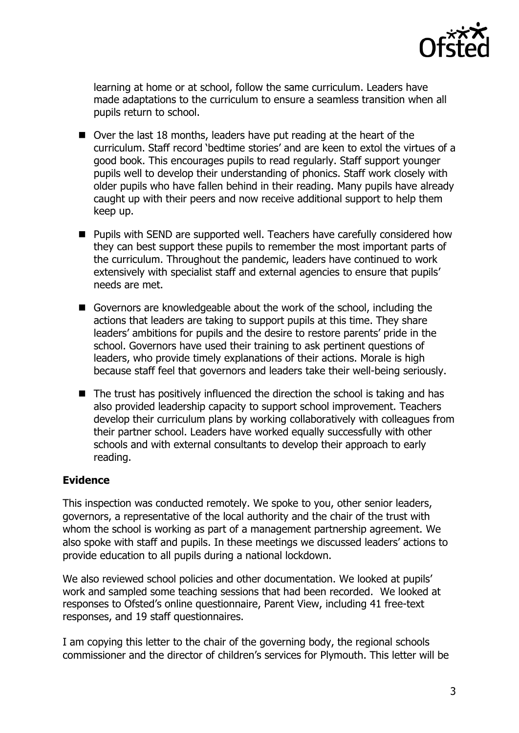

learning at home or at school, follow the same curriculum. Leaders have made adaptations to the curriculum to ensure a seamless transition when all pupils return to school.

- Over the last 18 months, leaders have put reading at the heart of the curriculum. Staff record 'bedtime stories' and are keen to extol the virtues of a good book. This encourages pupils to read regularly. Staff support younger pupils well to develop their understanding of phonics. Staff work closely with older pupils who have fallen behind in their reading. Many pupils have already caught up with their peers and now receive additional support to help them keep up.
- Pupils with SEND are supported well. Teachers have carefully considered how they can best support these pupils to remember the most important parts of the curriculum. Throughout the pandemic, leaders have continued to work extensively with specialist staff and external agencies to ensure that pupils' needs are met.
- Governors are knowledgeable about the work of the school, including the actions that leaders are taking to support pupils at this time. They share leaders' ambitions for pupils and the desire to restore parents' pride in the school. Governors have used their training to ask pertinent questions of leaders, who provide timely explanations of their actions. Morale is high because staff feel that governors and leaders take their well-being seriously.
- The trust has positively influenced the direction the school is taking and has also provided leadership capacity to support school improvement. Teachers develop their curriculum plans by working collaboratively with colleagues from their partner school. Leaders have worked equally successfully with other schools and with external consultants to develop their approach to early reading.

# **Evidence**

This inspection was conducted remotely. We spoke to you, other senior leaders, governors, a representative of the local authority and the chair of the trust with whom the school is working as part of a management partnership agreement. We also spoke with staff and pupils. In these meetings we discussed leaders' actions to provide education to all pupils during a national lockdown.

We also reviewed school policies and other documentation. We looked at pupils' work and sampled some teaching sessions that had been recorded. We looked at responses to Ofsted's online questionnaire, Parent View, including 41 free-text responses, and 19 staff questionnaires.

I am copying this letter to the chair of the governing body, the regional schools commissioner and the director of children's services for Plymouth. This letter will be